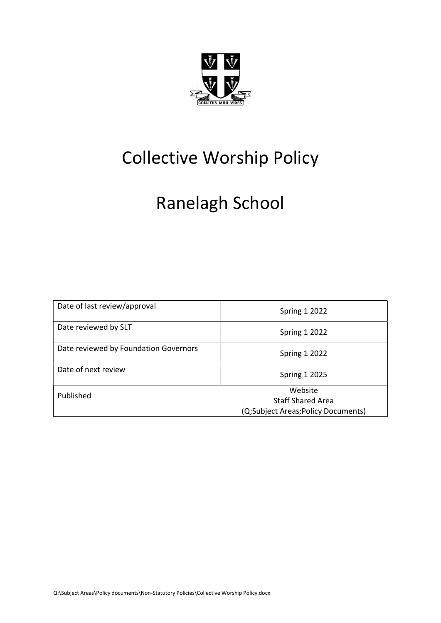

# Collective Worship Policy

# Ranelagh School

| Date of last review/approval          | <b>Spring 1 2022</b>                                                      |
|---------------------------------------|---------------------------------------------------------------------------|
| Date reviewed by SLT                  | <b>Spring 1 2022</b>                                                      |
| Date reviewed by Foundation Governors | <b>Spring 1 2022</b>                                                      |
| Date of next review                   | <b>Spring 1 2025</b>                                                      |
| Published                             | Website<br><b>Staff Shared Area</b><br>(Q;Subject Areas;Policy Documents) |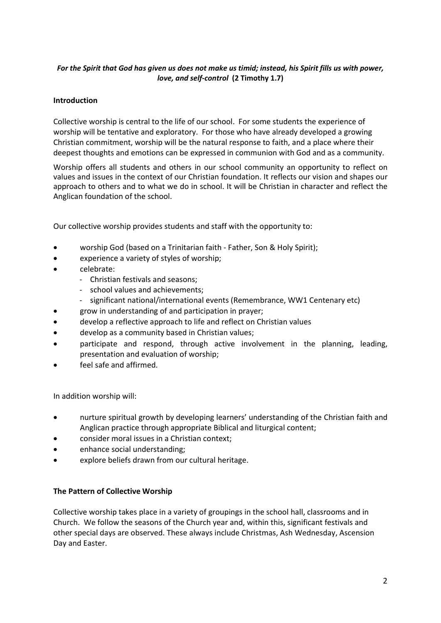## For the Spirit that God has given us does not make us timid; instead, his Spirit fills us with power, love, and self-control (2 Timothy 1.7)

### **Introduction**

Collective worship is central to the life of our school. For some students the experience of worship will be tentative and exploratory. For those who have already developed a growing Christian commitment, worship will be the natural response to faith, and a place where their deepest thoughts and emotions can be expressed in communion with God and as a community.

Worship offers all students and others in our school community an opportunity to reflect on values and issues in the context of our Christian foundation. It reflects our vision and shapes our approach to others and to what we do in school. It will be Christian in character and reflect the Anglican foundation of the school.

Our collective worship provides students and staff with the opportunity to:

- worship God (based on a Trinitarian faith Father, Son & Holy Spirit);
- experience a variety of styles of worship;
- celebrate:
	- Christian festivals and seasons;
	- school values and achievements;
	- significant national/international events (Remembrance, WW1 Centenary etc)
- grow in understanding of and participation in prayer;
- develop a reflective approach to life and reflect on Christian values
- develop as a community based in Christian values;
- participate and respond, through active involvement in the planning, leading, presentation and evaluation of worship;
- feel safe and affirmed.

In addition worship will:

- nurture spiritual growth by developing learners' understanding of the Christian faith and Anglican practice through appropriate Biblical and liturgical content;
- consider moral issues in a Christian context;
- enhance social understanding;
- explore beliefs drawn from our cultural heritage.

### The Pattern of Collective Worship

Collective worship takes place in a variety of groupings in the school hall, classrooms and in Church. We follow the seasons of the Church year and, within this, significant festivals and other special days are observed. These always include Christmas, Ash Wednesday, Ascension Day and Easter.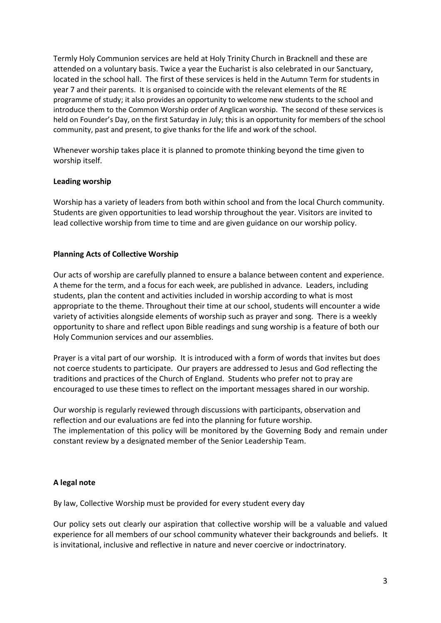Termly Holy Communion services are held at Holy Trinity Church in Bracknell and these are attended on a voluntary basis. Twice a year the Eucharist is also celebrated in our Sanctuary, located in the school hall. The first of these services is held in the Autumn Term for students in year 7 and their parents. It is organised to coincide with the relevant elements of the RE programme of study; it also provides an opportunity to welcome new students to the school and introduce them to the Common Worship order of Anglican worship. The second of these services is held on Founder's Day, on the first Saturday in July; this is an opportunity for members of the school community, past and present, to give thanks for the life and work of the school.

Whenever worship takes place it is planned to promote thinking beyond the time given to worship itself.

#### Leading worship

Worship has a variety of leaders from both within school and from the local Church community. Students are given opportunities to lead worship throughout the year. Visitors are invited to lead collective worship from time to time and are given guidance on our worship policy.

### Planning Acts of Collective Worship

Our acts of worship are carefully planned to ensure a balance between content and experience. A theme for the term, and a focus for each week, are published in advance. Leaders, including students, plan the content and activities included in worship according to what is most appropriate to the theme. Throughout their time at our school, students will encounter a wide variety of activities alongside elements of worship such as prayer and song. There is a weekly opportunity to share and reflect upon Bible readings and sung worship is a feature of both our Holy Communion services and our assemblies.

Prayer is a vital part of our worship. It is introduced with a form of words that invites but does not coerce students to participate. Our prayers are addressed to Jesus and God reflecting the traditions and practices of the Church of England. Students who prefer not to pray are encouraged to use these times to reflect on the important messages shared in our worship.

Our worship is regularly reviewed through discussions with participants, observation and reflection and our evaluations are fed into the planning for future worship. The implementation of this policy will be monitored by the Governing Body and remain under constant review by a designated member of the Senior Leadership Team.

### A legal note

By law, Collective Worship must be provided for every student every day

Our policy sets out clearly our aspiration that collective worship will be a valuable and valued experience for all members of our school community whatever their backgrounds and beliefs. It is invitational, inclusive and reflective in nature and never coercive or indoctrinatory.